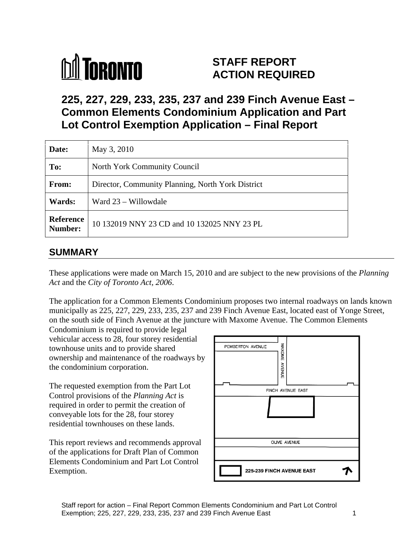# **M** TORONTO

## **STAFF REPORT ACTION REQUIRED**

# **225, 227, 229, 233, 235, 237 and 239 Finch Avenue East – Common Elements Condominium Application and Part Lot Control Exemption Application – Final Report**

| Date:         | May 3, 2010                                                             |
|---------------|-------------------------------------------------------------------------|
| To:           | North York Community Council                                            |
| From:         | Director, Community Planning, North York District                       |
| <b>Wards:</b> | $\boxed{\text{ Ward } 23 - \text{Willowdale}}$                          |
|               | <b>Reference</b> 10 132019 NNY 23 CD and 10 132025 NNY 23 PL<br>Number: |

## **SUMMARY**

These applications were made on March 15, 2010 and are subject to the new provisions of the *Planning Act* and the *City of Toronto Act, 2006*.

The application for a Common Elements Condominium proposes two internal roadways on lands known municipally as 225, 227, 229, 233, 235, 237 and 239 Finch Avenue East, located east of Yonge Street, on the south side of Finch Avenue at the juncture with Maxome Avenue. The Common Elements

Condominium is required to provide legal vehicular access to 28, four storey residential<br>townhouse units and to provide shared<br>ownership and maintenance of the roadways by townhouse units and to provide shared ownership and maintenance of the roadways by<br>the condominium corporation. the condominium corporation.

The requested exemption from the Part Lot Control provisions of the *Planning Act* is required in order to permit the creation of conveyable lots for the 28, four storey

of the applications for Draft Plan of Common Elements Condominium and Part Lot Control Exemption.

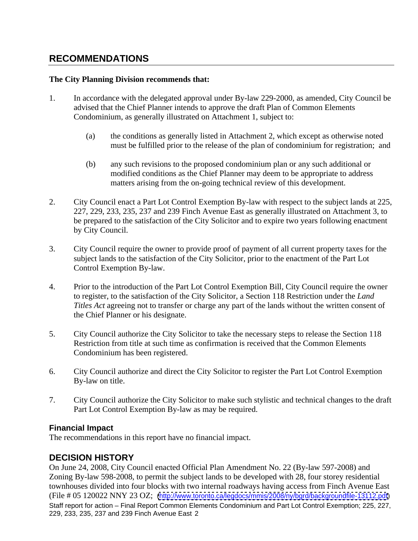## **RECOMMENDATIONS**

#### **The City Planning Division recommends that:**

- 1. In accordance with the delegated approval under By-law 229-2000, as amended, City Council be advised that the Chief Planner intends to approve the draft Plan of Common Elements Condominium, as generally illustrated on Attachment 1, subject to:
	- (a) the conditions as generally listed in Attachment 2, which except as otherwise noted must be fulfilled prior to the release of the plan of condominium for registration; and
	- (b) any such revisions to the proposed condominium plan or any such additional or modified conditions as the Chief Planner may deem to be appropriate to address matters arising from the on-going technical review of this development.
- 2. City Council enact a Part Lot Control Exemption By-law with respect to the subject lands at 225, 227, 229, 233, 235, 237 and 239 Finch Avenue East as generally illustrated on Attachment 3, to be prepared to the satisfaction of the City Solicitor and to expire two years following enactment by City Council.
- 3. City Council require the owner to provide proof of payment of all current property taxes for the subject lands to the satisfaction of the City Solicitor, prior to the enactment of the Part Lot Control Exemption By-law.
- 4. Prior to the introduction of the Part Lot Control Exemption Bill, City Council require the owner to register, to the satisfaction of the City Solicitor, a Section 118 Restriction under the *Land Titles Act* agreeing not to transfer or charge any part of the lands without the written consent of the Chief Planner or his designate.
- 5. City Council authorize the City Solicitor to take the necessary steps to release the Section 118 Restriction from title at such time as confirmation is received that the Common Elements Condominium has been registered.
- 6. City Council authorize and direct the City Solicitor to register the Part Lot Control Exemption By-law on title.
- 7. City Council authorize the City Solicitor to make such stylistic and technical changes to the draft Part Lot Control Exemption By-law as may be required.

#### **Financial Impact**

The recommendations in this report have no financial impact.

## **DECISION HISTORY**

Staff report for action – Final Report Common Elements Condominium and Part Lot Control Exemption; 225, 227, 229, 233, 235, 237 and 239 Finch Avenue East 2 On June 24, 2008, City Council enacted Official Plan Amendment No. 22 (By-law 597-2008) and Zoning By-law 598-2008, to permit the subject lands to be developed with 28, four storey residential townhouses divided into four blocks with two internal roadways having access from Finch Avenue East (File # 05 120022 NNY 23 OZ; [\(http://www.toronto.ca/legdocs/mmis/2008/ny/bgrd/backgroundfile-13112.pdf](http://www.toronto.ca/legdocs/mmis/2008/ny/bgrd/backgroundfile-13112.pdf))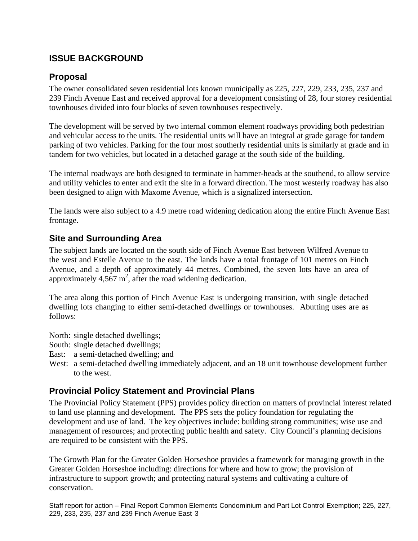## **ISSUE BACKGROUND**

#### **Proposal**

The owner consolidated seven residential lots known municipally as 225, 227, 229, 233, 235, 237 and 239 Finch Avenue East and received approval for a development consisting of 28, four storey residential townhouses divided into four blocks of seven townhouses respectively.

The development will be served by two internal common element roadways providing both pedestrian and vehicular access to the units. The residential units will have an integral at grade garage for tandem parking of two vehicles. Parking for the four most southerly residential units is similarly at grade and in tandem for two vehicles, but located in a detached garage at the south side of the building.

The internal roadways are both designed to terminate in hammer-heads at the southend, to allow service and utility vehicles to enter and exit the site in a forward direction. The most westerly roadway has also been designed to align with Maxome Avenue, which is a signalized intersection.

The lands were also subject to a 4.9 metre road widening dedication along the entire Finch Avenue East frontage.

#### **Site and Surrounding Area**

The subject lands are located on the south side of Finch Avenue East between Wilfred Avenue to the west and Estelle Avenue to the east. The lands have a total frontage of 101 metres on Finch Avenue, and a depth of approximately 44 metres. Combined, the seven lots have an area of approximately  $4,567$  m<sup>2</sup>, after the road widening dedication.

The area along this portion of Finch Avenue East is undergoing transition, with single detached dwelling lots changing to either semi-detached dwellings or townhouses. Abutting uses are as follows:

North: single detached dwellings;

- South: single detached dwellings;
- East: a semi-detached dwelling; and
- West: a semi-detached dwelling immediately adjacent, and an 18 unit townhouse development further to the west.

## **Provincial Policy Statement and Provincial Plans**

The Provincial Policy Statement (PPS) provides policy direction on matters of provincial interest related to land use planning and development. The PPS sets the policy foundation for regulating the development and use of land. The key objectives include: building strong communities; wise use and management of resources; and protecting public health and safety. City Council's planning decisions are required to be consistent with the PPS.

The Growth Plan for the Greater Golden Horseshoe provides a framework for managing growth in the Greater Golden Horseshoe including: directions for where and how to grow; the provision of infrastructure to support growth; and protecting natural systems and cultivating a culture of conservation.

Staff report for action – Final Report Common Elements Condominium and Part Lot Control Exemption; 225, 227, 229, 233, 235, 237 and 239 Finch Avenue East 3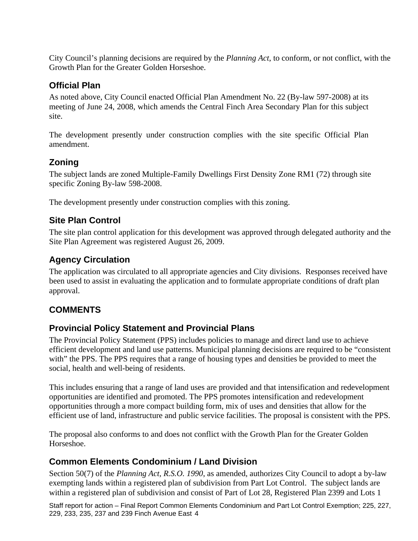City Council's planning decisions are required by the *Planning Act*, to conform, or not conflict, with the Growth Plan for the Greater Golden Horseshoe.

## **Official Plan**

As noted above, City Council enacted Official Plan Amendment No. 22 (By-law 597-2008) at its meeting of June 24, 2008, which amends the Central Finch Area Secondary Plan for this subject

site.<br>The development presently under construction complies with the site specific Official Plan amendment.

## **Zoning**

The subject lands are zoned Multiple-Family Dwellings First Density Zone RM1 (72) through site specific Zoning By-law 598-2008.

The development presently under construction complies with this zoning.

## **Site Plan Control**

The site plan control application for this development was approved through delegated authority and the Site Plan Agreement was registered August 26, 2009.

#### **Agency Circulation**

The application was circulated to all appropriate agencies and City divisions. Responses received have been used to assist in evaluating the application and to formulate appropriate conditions of draft plan approval.

## **COMMENTS**

## **Provincial Policy Statement and Provincial Plans**

The Provincial Policy Statement (PPS) includes policies to manage and direct land use to achieve efficient development and land use patterns. Municipal planning decisions are required to be "consistent with" the PPS. The PPS requires that a range of housing types and densities be provided to meet the social, health and well-being of residents.

This includes ensuring that a range of land uses are provided and that intensification and redevelopment opportunities are identified and promoted. The PPS promotes intensification and redevelopment opportunities through a more compact building form, mix of uses and densities that allow for the efficient use of land, infrastructure and public service facilities. The proposal is consistent with the PPS.

The proposal also conforms to and does not conflict with the Growth Plan for the Greater Golden Horseshoe.

## **Common Elements Condominium / Land Division**

Section 50(7) of the *Planning Act, R.S.O. 1990*, as amended, authorizes City Council to adopt a by-law exempting lands within a registered plan of subdivision from Part Lot Control. The subject lands are within a registered plan of subdivision and consist of Part of Lot 28, Registered Plan 2399 and Lots 1

Staff report for action – Final Report Common Elements Condominium and Part Lot Control Exemption; 225, 227, 229, 233, 235, 237 and 239 Finch Avenue East 4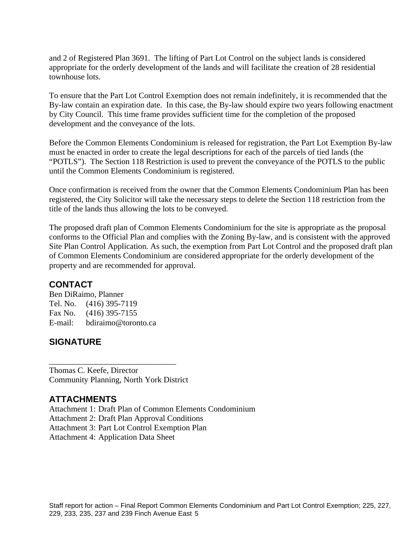and 2 of Registered Plan 3691. The lifting of Part Lot Control on the subject lands is considered appropriate for the orderly development of the lands and will facilitate the creation of 28 residential townhouse lots.

To ensure that the Part Lot Control Exemption does not remain indefinitely, it is recommended that the By-law contain an expiration date. In this case, the By-law should expire two years following enactment by City Council. This time frame provides sufficient time for the completion of the proposed development and the conveyance of the lots.

Before the Common Elements Condominium is released for registration, the Part Lot Exemption By-law must be enacted in order to create the legal descriptions for each of the parcels of tied lands (the "POTLS"). The Section 118 Restriction is used to prevent the conveyance of the POTLS to the public until the Common Elements Condominium is registered.

Once confirmation is received from the owner that the Common Elements Condominium Plan has been registered, the City Solicitor will take the necessary steps to delete the Section 118 restriction from the title of the lands thus allowing the lots to be conveyed.

The proposed draft plan of Common Elements Condominium for the site is appropriate as the proposal conforms to the Official Plan and complies with the Zoning By-law, and is consistent with the approved Site Plan Control Application. As such, the exemption from Part Lot Control and the proposed draft plan of Common Elements Condominium are considered appropriate for the orderly development of the property and are recommended for approval.

 $\overline{\phantom{a}}$  , we can assume that the contract of the contract of the contract of the contract of the contract of the contract of the contract of the contract of the contract of the contract of the contract of the contract

## **CONTACT**

Ben DiRaimo, Planner Tel. No. (416) 395-7119 Fax No. (416) 395-7155 E-mail: bdiraimo@toronto.ca

## **SIGNATURE**

Thomas C. Keefe, Director Community Planning, North York District

## **ATTACHMENTS**

Attachment 1: Draft Plan of Common Elements Condominium Attachment 2: Draft Plan Approval Conditions Attachment 3: Part Lot Control Exemption Plan Attachment 4: Application Data Sheet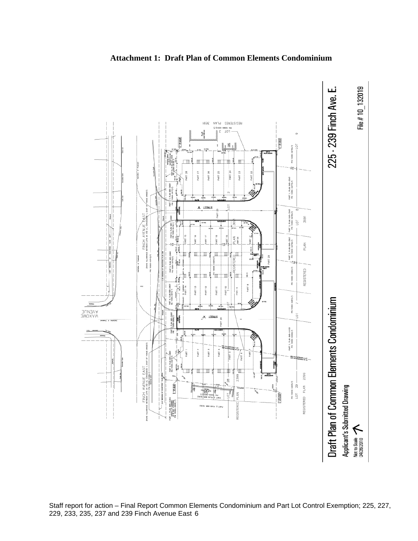

#### **Attachment 1: Draft Plan of Common Elements Condominium**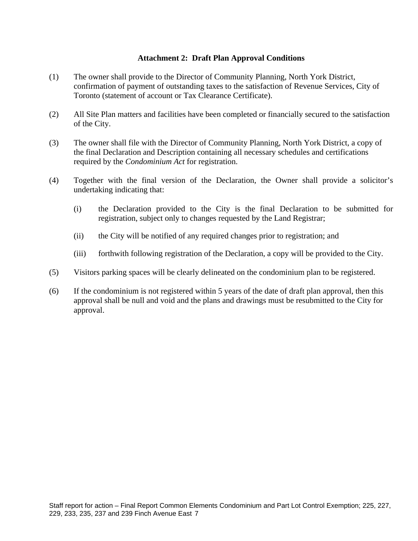#### **Attachment 2: Draft Plan Approval Conditions**

- (1) The owner shall provide to the Director of Community Planning, North York District, confirmation of payment of outstanding taxes to the satisfaction of Revenue Services, City of Toronto (statement of account or Tax Clearance Certificate).
- (2) All Site Plan matters and facilities have been completed or financially secured to the satisfaction of the City.
- (3) The owner shall file with the Director of Community Planning, North York District, a copy of the final Declaration and Description containing all necessary schedules and certifications required by the *Condominium Act* for registration.
- (4) Together with the final version of the Declaration, the Owner shall provide a solicitor's undertaking indicating that:
	- (i) the Declaration provided to the City is the final Declaration to be submitted for registration, subject only to changes requested by the Land Registrar;
	- (ii) the City will be notified of any required changes prior to registration; and
	- (iii) forthwith following registration of the Declaration, a copy will be provided to the City.
- (5) Visitors parking spaces will be clearly delineated on the condominium plan to be registered.
- (6) If the condominium is not registered within 5 years of the date of draft plan approval, then this approval shall be null and void and the plans and drawings must be resubmitted to the City for approval.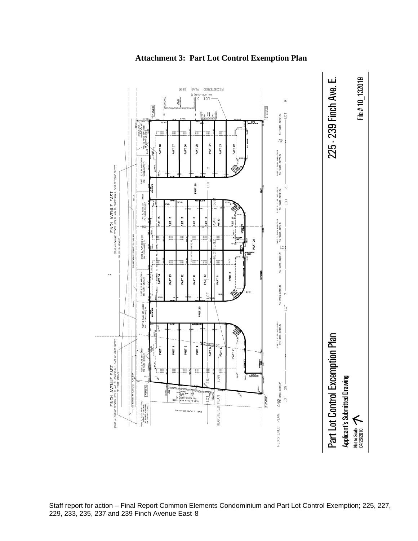

#### **Attachment 3: Part Lot Control Exemption Plan**